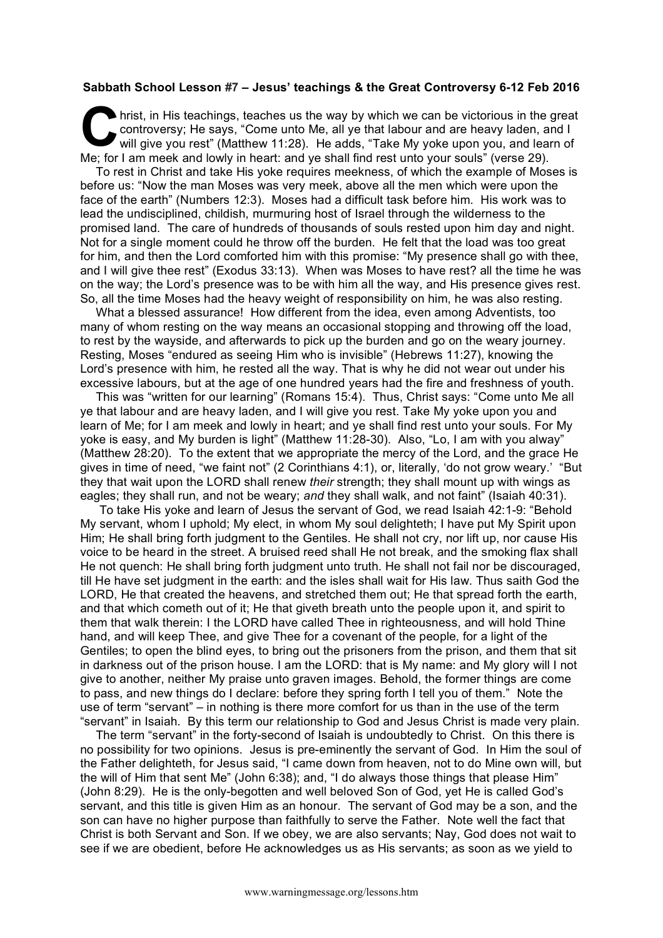## **Sabbath School Lesson #7 – Jesus' teachings & the Great Controversy 6-12 Feb 2016**

hrist, in His teachings, teaches us the way by which we can be victorious in the great controversy; He says, "Come unto Me, all ye that labour and are heavy laden, and I will give you rest" (Matthew 11:28). He adds, "Take controversy; He says, "Come unto Me, all ye that labour and are heavy laden, and I will give you rest" (Matthew 11:28). He adds, "Take My yoke upon you, and learn of Me; for I am meek and lowly in heart: and ye shall find rest unto your souls" (verse 29).

To rest in Christ and take His yoke requires meekness, of which the example of Moses is before us: "Now the man Moses was very meek, above all the men which were upon the face of the earth" (Numbers 12:3). Moses had a difficult task before him. His work was to lead the undisciplined, childish, murmuring host of Israel through the wilderness to the promised land. The care of hundreds of thousands of souls rested upon him day and night. Not for a single moment could he throw off the burden. He felt that the load was too great for him, and then the Lord comforted him with this promise: "My presence shall go with thee, and I will give thee rest" (Exodus 33:13). When was Moses to have rest? all the time he was on the way; the Lord's presence was to be with him all the way, and His presence gives rest. So, all the time Moses had the heavy weight of responsibility on him, he was also resting.

What a blessed assurance! How different from the idea, even among Adventists, too many of whom resting on the way means an occasional stopping and throwing off the load, to rest by the wayside, and afterwards to pick up the burden and go on the weary journey. Resting, Moses "endured as seeing Him who is invisible" (Hebrews 11:27), knowing the Lord's presence with him, he rested all the way. That is why he did not wear out under his excessive labours, but at the age of one hundred years had the fire and freshness of youth.

This was "written for our learning" (Romans 15:4). Thus, Christ says: "Come unto Me all ye that labour and are heavy laden, and I will give you rest. Take My yoke upon you and learn of Me; for I am meek and lowly in heart; and ye shall find rest unto your souls. For My yoke is easy, and My burden is light" (Matthew 11:28-30). Also, "Lo, I am with you alway" (Matthew 28:20). To the extent that we appropriate the mercy of the Lord, and the grace He gives in time of need, "we faint not" (2 Corinthians 4:1), or, literally, 'do not grow weary.' "But they that wait upon the LORD shall renew *their* strength; they shall mount up with wings as eagles; they shall run, and not be weary; *and* they shall walk, and not faint" (Isaiah 40:31).

 To take His yoke and learn of Jesus the servant of God, we read Isaiah 42:1-9: "Behold My servant, whom I uphold; My elect, in whom My soul delighteth; I have put My Spirit upon Him; He shall bring forth judgment to the Gentiles. He shall not cry, nor lift up, nor cause His voice to be heard in the street. A bruised reed shall He not break, and the smoking flax shall He not quench: He shall bring forth judgment unto truth. He shall not fail nor be discouraged, till He have set judgment in the earth: and the isles shall wait for His law. Thus saith God the LORD, He that created the heavens, and stretched them out; He that spread forth the earth, and that which cometh out of it; He that giveth breath unto the people upon it, and spirit to them that walk therein: I the LORD have called Thee in righteousness, and will hold Thine hand, and will keep Thee, and give Thee for a covenant of the people, for a light of the Gentiles; to open the blind eyes, to bring out the prisoners from the prison, and them that sit in darkness out of the prison house. I am the LORD: that is My name: and My glory will I not give to another, neither My praise unto graven images. Behold, the former things are come to pass, and new things do I declare: before they spring forth I tell you of them." Note the use of term "servant" – in nothing is there more comfort for us than in the use of the term "servant" in Isaiah. By this term our relationship to God and Jesus Christ is made very plain.

The term "servant" in the forty-second of Isaiah is undoubtedly to Christ. On this there is no possibility for two opinions. Jesus is pre-eminently the servant of God. In Him the soul of the Father delighteth, for Jesus said, "I came down from heaven, not to do Mine own will, but the will of Him that sent Me" (John 6:38); and, "I do always those things that please Him" (John 8:29). He is the only-begotten and well beloved Son of God, yet He is called God's servant, and this title is given Him as an honour. The servant of God may be a son, and the son can have no higher purpose than faithfully to serve the Father. Note well the fact that Christ is both Servant and Son. If we obey, we are also servants; Nay, God does not wait to see if we are obedient, before He acknowledges us as His servants; as soon as we yield to